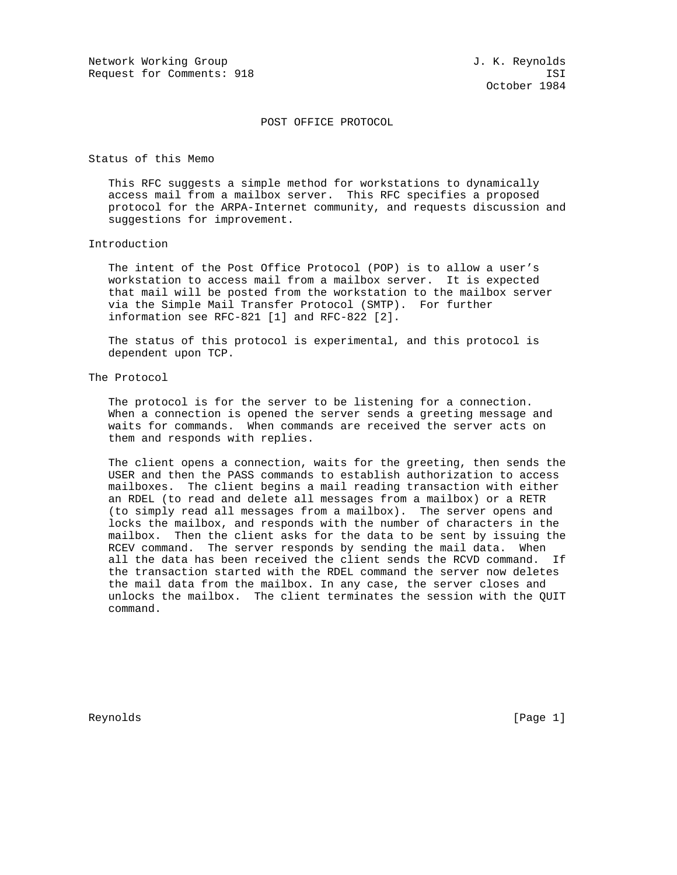## POST OFFICE PROTOCOL

Status of this Memo

 This RFC suggests a simple method for workstations to dynamically access mail from a mailbox server. This RFC specifies a proposed protocol for the ARPA-Internet community, and requests discussion and suggestions for improvement.

### Introduction

 The intent of the Post Office Protocol (POP) is to allow a user's workstation to access mail from a mailbox server. It is expected that mail will be posted from the workstation to the mailbox server via the Simple Mail Transfer Protocol (SMTP). For further information see RFC-821 [1] and RFC-822 [2].

 The status of this protocol is experimental, and this protocol is dependent upon TCP.

## The Protocol

 The protocol is for the server to be listening for a connection. When a connection is opened the server sends a greeting message and waits for commands. When commands are received the server acts on them and responds with replies.

 The client opens a connection, waits for the greeting, then sends the USER and then the PASS commands to establish authorization to access mailboxes. The client begins a mail reading transaction with either an RDEL (to read and delete all messages from a mailbox) or a RETR (to simply read all messages from a mailbox). The server opens and locks the mailbox, and responds with the number of characters in the mailbox. Then the client asks for the data to be sent by issuing the RCEV command. The server responds by sending the mail data. When all the data has been received the client sends the RCVD command. If the transaction started with the RDEL command the server now deletes the mail data from the mailbox. In any case, the server closes and unlocks the mailbox. The client terminates the session with the QUIT command.

Reynolds [Page 1]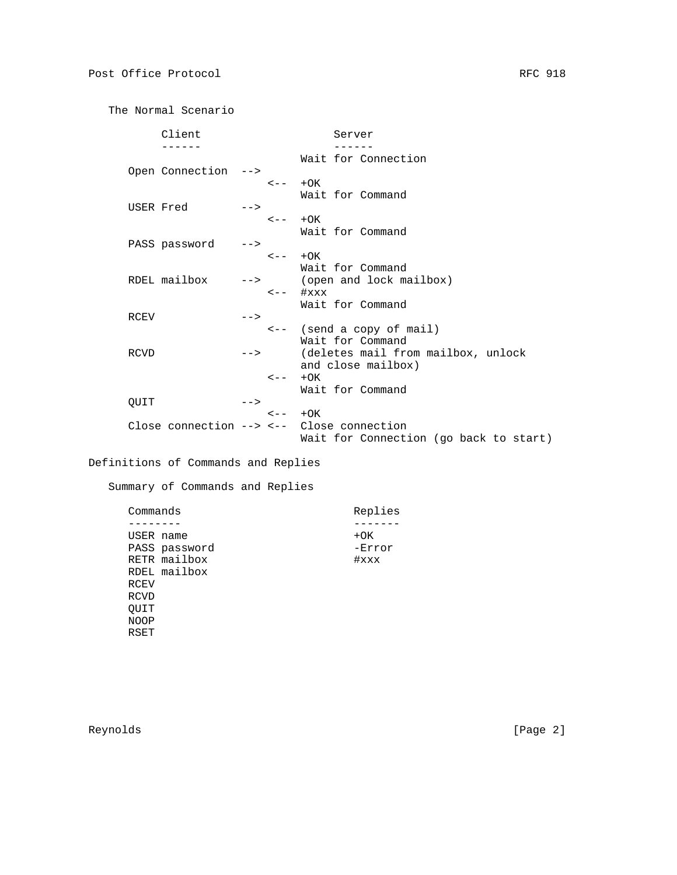The Normal Scenario

|             | Client                                   |       |                           |                               | Server                                 |
|-------------|------------------------------------------|-------|---------------------------|-------------------------------|----------------------------------------|
|             |                                          |       |                           |                               |                                        |
|             |                                          |       |                           |                               | Wait for Connection                    |
|             | Open Connection                          | $--$  |                           |                               |                                        |
|             |                                          |       | $\leftarrow -$ + OK       |                               |                                        |
|             |                                          |       |                           |                               | Wait for Command                       |
| USER Fred   |                                          | $--$  |                           |                               |                                        |
|             |                                          |       | $\leftarrow -$ + OK       |                               |                                        |
|             |                                          |       |                           |                               | Wait for Command                       |
|             | PASS password                            | $--$  |                           |                               |                                        |
|             |                                          |       | $\leftarrow -$ + $\cap$ K |                               |                                        |
|             |                                          |       |                           |                               | Wait for Command                       |
|             | RDEL mailbox                             |       |                           |                               |                                        |
|             |                                          | $-->$ |                           |                               | (open and lock mailbox)                |
|             |                                          |       |                           | $\leftarrow  \#$ $\text{XXX}$ |                                        |
|             |                                          |       |                           |                               | Wait for Command                       |
| <b>RCEV</b> |                                          | $--$  |                           |                               |                                        |
|             |                                          |       |                           |                               | $\leftarrow -$ (send a copy of mail)   |
|             |                                          |       |                           |                               | Wait for Command                       |
| RCVD        |                                          | $-->$ |                           |                               | (deletes mail from mailbox, unlock     |
|             |                                          |       |                           |                               | and close mailbox)                     |
|             |                                          |       | $\epsilon$ - $-$          | $+OK$                         |                                        |
|             |                                          |       |                           |                               | Wait for Command                       |
| OUIT        |                                          | $--$  |                           |                               |                                        |
|             |                                          |       | $\leftarrow -$ + $\cap$ K |                               |                                        |
|             | Close connection $- <-$ Close connection |       |                           |                               |                                        |
|             |                                          |       |                           |                               | Wait for Connection (go back to start) |
|             |                                          |       |                           |                               |                                        |

Definitions of Commands and Replies

Summary of Commands and Replies

| Commands      | Replies  |
|---------------|----------|
|               |          |
| USER name     | $+OK$    |
| PASS password | -Error   |
| RETR mailbox  | $\#$ xxx |
| RDEL mailbox  |          |
| RCEV          |          |
| RCVD          |          |
| OUIT          |          |
| <b>NOOP</b>   |          |
| RSET          |          |
|               |          |

Reynolds [Page 2]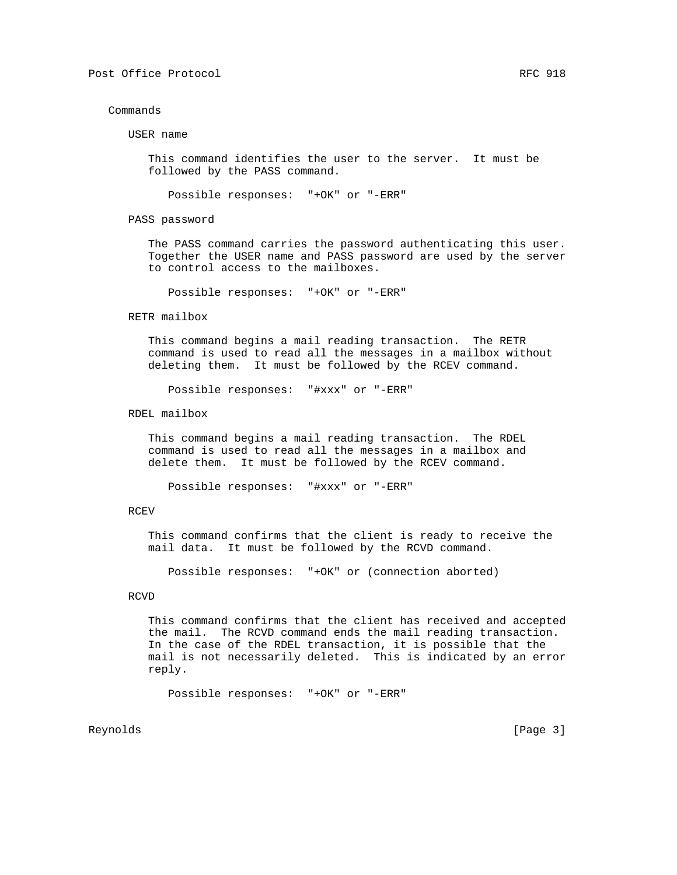### Commands

USER name

 This command identifies the user to the server. It must be followed by the PASS command.

Possible responses: "+OK" or "-ERR"

PASS password

 The PASS command carries the password authenticating this user. Together the USER name and PASS password are used by the server to control access to the mailboxes.

Possible responses: "+OK" or "-ERR"

#### RETR mailbox

 This command begins a mail reading transaction. The RETR command is used to read all the messages in a mailbox without deleting them. It must be followed by the RCEV command.

Possible responses: "#xxx" or "-ERR"

RDEL mailbox

 This command begins a mail reading transaction. The RDEL command is used to read all the messages in a mailbox and delete them. It must be followed by the RCEV command.

Possible responses: "#xxx" or "-ERR"

## RCEV

 This command confirms that the client is ready to receive the mail data. It must be followed by the RCVD command.

Possible responses: "+OK" or (connection aborted)

## RCVD

 This command confirms that the client has received and accepted the mail. The RCVD command ends the mail reading transaction. In the case of the RDEL transaction, it is possible that the mail is not necessarily deleted. This is indicated by an error reply.

Possible responses: "+OK" or "-ERR"

Reynolds [Page 3]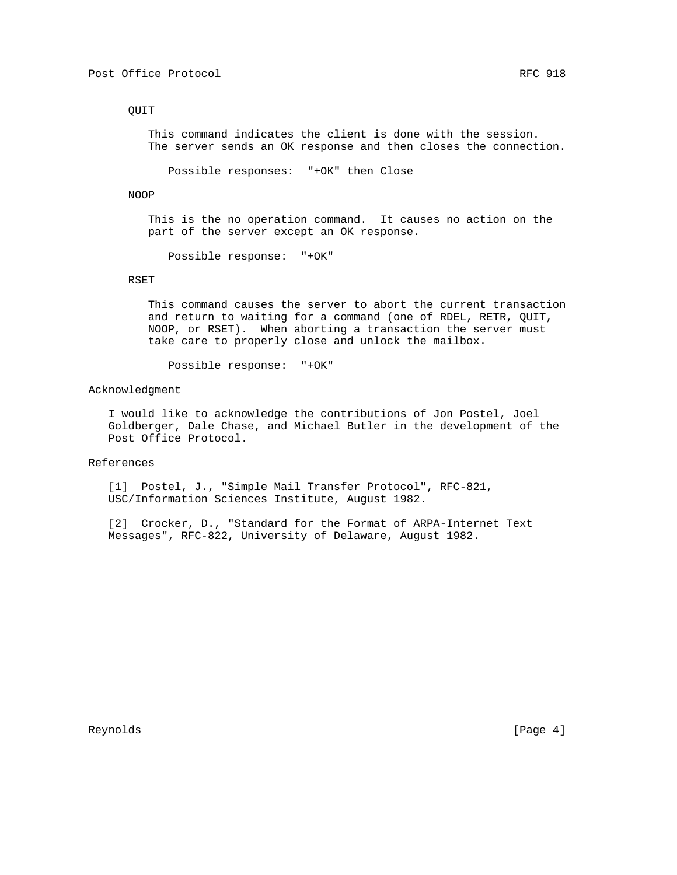# QUIT

 This command indicates the client is done with the session. The server sends an OK response and then closes the connection.

Possible responses: "+OK" then Close

NOOP

 This is the no operation command. It causes no action on the part of the server except an OK response.

Possible response: "+OK"

## RSET

 This command causes the server to abort the current transaction and return to waiting for a command (one of RDEL, RETR, QUIT, NOOP, or RSET). When aborting a transaction the server must take care to properly close and unlock the mailbox.

Possible response: "+OK"

Acknowledgment

 I would like to acknowledge the contributions of Jon Postel, Joel Goldberger, Dale Chase, and Michael Butler in the development of the Post Office Protocol.

References

 [1] Postel, J., "Simple Mail Transfer Protocol", RFC-821, USC/Information Sciences Institute, August 1982.

 [2] Crocker, D., "Standard for the Format of ARPA-Internet Text Messages", RFC-822, University of Delaware, August 1982.

Reynolds [Page 4]